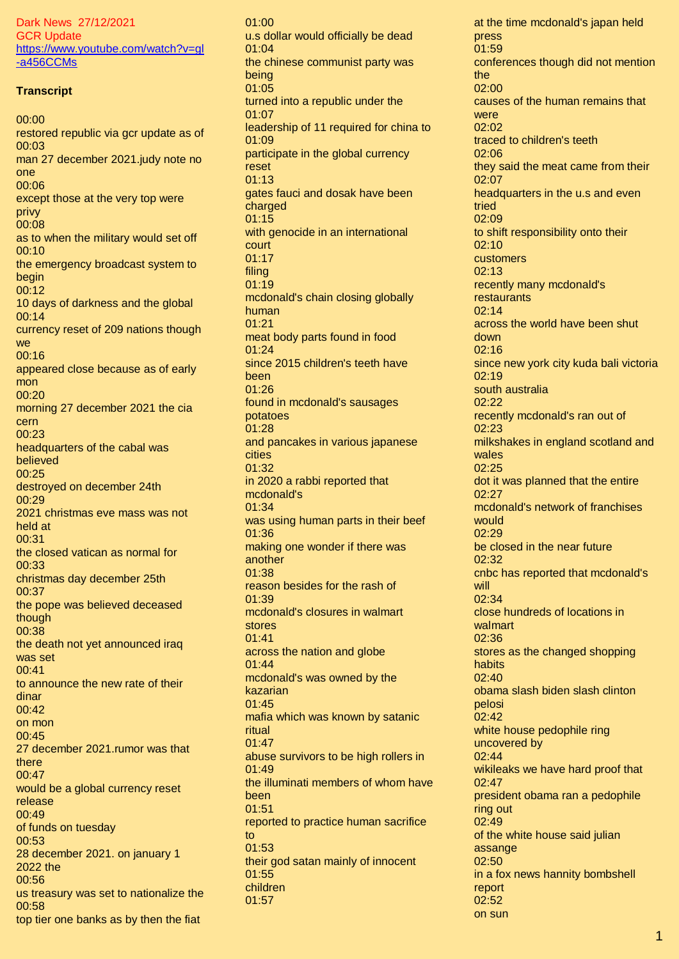Dark News 27/12/2021 GCR Update [https://www.youtube.com/watch?v=gl](https://www.youtube.com/watch?v=gl-a456CCMs) [-a456CCMs](https://www.youtube.com/watch?v=gl-a456CCMs)

## **Transcript**

00:00 restored republic via gcr update as of 00:03 man 27 december 2021.judy note no one 00:06 except those at the very top were privy 00:08 as to when the military would set off 00:10 the emergency broadcast system to begin 00:12 10 days of darkness and the global 00:14 currency reset of 209 nations though **we** 00:16 appeared close because as of early mon 00:20 morning 27 december 2021 the cia cern 00:23 headquarters of the cabal was believed 00:25 destroyed on december 24th 00:29 2021 christmas eve mass was not held at 00:31 the closed vatican as normal for 00:33 christmas day december 25th 00:37 the pope was believed deceased though 00:38 the death not yet announced iraq was set 00:41 to announce the new rate of their dinar 00:42 on mon 00:45 27 december 2021.rumor was that there 00:47 would be a global currency reset release 00:49 of funds on tuesday 00:53 28 december 2021. on january 1 2022 the 00:56 us treasury was set to nationalize the 00:58 top tier one banks as by then the fiat

 $01:00$ u.s dollar would officially be dead 01:04 the chinese communist party was being 01:05 turned into a republic under the 01:07 leadership of 11 required for china to 01:09 participate in the global currency reset 01:13 gates fauci and dosak have been charged 01:15 with genocide in an international court 01:17 filing 01:19 mcdonald's chain closing globally human 01:21 meat body parts found in food 01:24 since 2015 children's teeth have been 01:26 found in mcdonald's sausages potatoes 01:28 and pancakes in various japanese cities 01:32 in 2020 a rabbi reported that mcdonald's 01:34 was using human parts in their beef 01:36 making one wonder if there was another 01:38 reason besides for the rash of  $01.39$ mcdonald's closures in walmart stores 01:41 across the nation and globe 01:44 mcdonald's was owned by the kazarian 01:45 mafia which was known by satanic ritual 01:47 abuse survivors to be high rollers in 01:49 the illuminati members of whom have been 01:51 reported to practice human sacrifice to 01:53 their god satan mainly of innocent 01:55 children 01:57

at the time mcdonald's japan held press 01:59 conferences though did not mention the 02:00 causes of the human remains that were 02:02 traced to children's teeth 02:06 they said the meat came from their 02:07 headquarters in the u.s and even tried 02:09 to shift responsibility onto their 02:10 customers 02:13 recently many mcdonald's restaurants 02:14 across the world have been shut down 02:16 since new york city kuda bali victoria 02:19 south australia 02:22 recently mcdonald's ran out of 02:23 milkshakes in england scotland and wales 02:25 dot it was planned that the entire 02:27 mcdonald's network of franchises would 02:29 be closed in the near future 02:32 cnbc has reported that mcdonald's will 02:34 close hundreds of locations in walmart 02:36 stores as the changed shopping habits 02:40 obama slash biden slash clinton pelosi 02:42 white house pedophile ring uncovered by 02:44 wikileaks we have hard proof that 02:47 president obama ran a pedophile ring out 02:49 of the white house said julian assange 02:50 in a fox news hannity bombshell report 02:52 on sun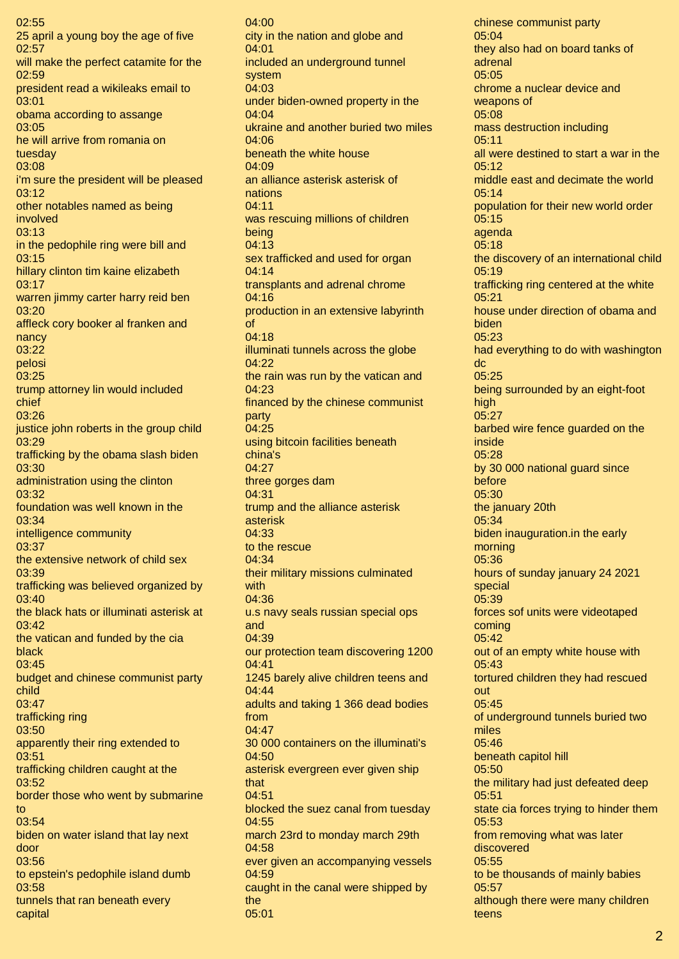02:55 25 april a young boy the age of five 02:57 will make the perfect catamite for the 02:59 president read a wikileaks email to 03:01 obama according to assange 03:05 he will arrive from romania on tuesday 03:08 i'm sure the president will be pleased 03:12 other notables named as being involved 03:13 in the pedophile ring were bill and 03:15 hillary clinton tim kaine elizabeth 03:17 warren jimmy carter harry reid ben 03:20 affleck cory booker al franken and nancy 03:22 pelosi 03:25 trump attorney lin would included chief 03:26 justice john roberts in the group child 03:29 trafficking by the obama slash biden 03:30 administration using the clinton 03:32 foundation was well known in the 03:34 intelligence community 03:37 the extensive network of child sex 03:39 trafficking was believed organized by 03:40 the black hats or illuminati asterisk at 03:42 the vatican and funded by the cia black 03:45 budget and chinese communist party child 03:47 trafficking ring 03:50 apparently their ring extended to 03:51 trafficking children caught at the 03:52 border those who went by submarine to 03:54 biden on water island that lay next door 03:56 to epstein's pedophile island dumb 03:58 tunnels that ran beneath every capital

04:00 city in the nation and globe and  $04:01$ included an underground tunnel system 04:03 under biden-owned property in the 04:04 ukraine and another buried two miles 04:06 beneath the white house 04:09 an alliance asterisk asterisk of nations 04:11 was rescuing millions of children being 04:13 sex trafficked and used for organ 04:14 transplants and adrenal chrome 04:16 production in an extensive labyrinth of 04:18 illuminati tunnels across the globe 04:22 the rain was run by the vatican and 04:23 financed by the chinese communist party 04:25 using bitcoin facilities beneath china's 04:27 three gorges dam 04:31 trump and the alliance asterisk asterisk 04:33 to the rescue 04:34 their military missions culminated with 04:36 u.s navy seals russian special ops and 04:39 our protection team discovering 1200 04:41 1245 barely alive children teens and 04:44 adults and taking 1 366 dead bodies from 04:47 30 000 containers on the illuminati's 04:50 asterisk evergreen ever given ship that 04:51 blocked the suez canal from tuesday 04:55 march 23rd to monday march 29th 04:58 ever given an accompanying vessels 04:59 caught in the canal were shipped by the 05:01

chinese communist party 05:04 they also had on board tanks of adrenal 05:05 chrome a nuclear device and weapons of 05:08 mass destruction including  $0.5:11$ all were destined to start a war in the 05:12 middle east and decimate the world 05:14 population for their new world order 05:15 agenda 05:18 the discovery of an international child 05:19 trafficking ring centered at the white 05:21 house under direction of obama and biden 05:23 had everything to do with washington dc 05:25 being surrounded by an eight-foot high 05:27 barbed wire fence guarded on the inside 05:28 by 30 000 national guard since before 05:30 the january 20th 05:34 biden inauguration.in the early morning 05:36 hours of sunday january 24 2021 special 05:39 forces sof units were videotaped coming 05:42 out of an empty white house with 05:43 tortured children they had rescued out 05:45 of underground tunnels buried two miles 05:46 beneath capitol hill 05:50 the military had just defeated deep 05:51 state cia forces trying to hinder them 05:53 from removing what was later discovered 05:55 to be thousands of mainly babies 05:57 although there were many children teens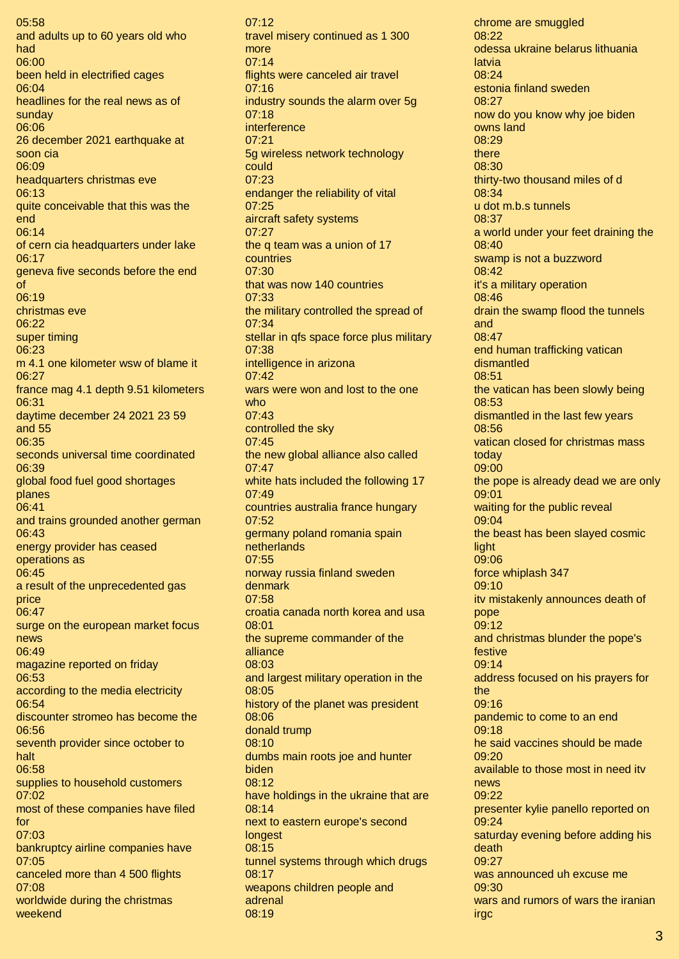05:58 and adults up to 60 years old who had 06:00 been held in electrified cages 06:04 headlines for the real news as of sunday 06:06 26 december 2021 earthquake at soon cia 06:09 headquarters christmas eve 06:13 quite conceivable that this was the end 06:14 of cern cia headquarters under lake 06:17 geneva five seconds before the end of 06:19 christmas eve 06:22 super timing 06:23 m 4.1 one kilometer wsw of blame it 06:27 france mag 4.1 depth 9.51 kilometers 06:31 daytime december 24 2021 23 59 and 55 06:35 seconds universal time coordinated 06:39 global food fuel good shortages planes 06:41 and trains grounded another german 06:43 energy provider has ceased operations as 06:45 a result of the unprecedented gas price 06:47 surge on the european market focus news 06:49 magazine reported on friday 06:53 according to the media electricity 06:54 discounter stromeo has become the 06:56 seventh provider since october to halt 06:58 supplies to household customers 07:02 most of these companies have filed for 07:03 bankruptcy airline companies have 07:05 canceled more than 4 500 flights 07:08 worldwide during the christmas weekend

 $07:12$ travel misery continued as 1 300 more 07:14 flights were canceled air travel 07:16 industry sounds the alarm over 5g 07:18 interference 07:21 5g wireless network technology could 07:23 endanger the reliability of vital 07:25 aircraft safety systems 07:27 the q team was a union of 17 countries 07:30 that was now 140 countries 07:33 the military controlled the spread of 07:34 stellar in qfs space force plus military 07:38 intelligence in arizona 07:42 wars were won and lost to the one who 07:43 controlled the sky 07:45 the new global alliance also called 07:47 white hats included the following 17 07:49 countries australia france hungary 07:52 germany poland romania spain netherlands 07:55 norway russia finland sweden denmark 07:58 croatia canada north korea and usa 08:01 the supreme commander of the alliance 08:03 and largest military operation in the 08:05 history of the planet was president 08:06 donald trump 08:10 dumbs main roots joe and hunter biden 08:12 have holdings in the ukraine that are 08:14 next to eastern europe's second longest 08:15 tunnel systems through which drugs 08:17 weapons children people and adrenal 08:19

chrome are smuggled 08:22 odessa ukraine belarus lithuania latvia 08:24 estonia finland sweden 08:27 now do you know why joe biden owns land 08:29 there 08:30 thirty-two thousand miles of d 08:34 u dot m.b.s tunnels 08:37 a world under your feet draining the 08:40 swamp is not a buzzword 08:42 it's a military operation 08:46 drain the swamp flood the tunnels and 08:47 end human trafficking vatican dismantled 08:51 the vatican has been slowly being 08:53 dismantled in the last few years 08:56 vatican closed for christmas mass today 09:00 the pope is already dead we are only 09:01 waiting for the public reveal 09:04 the beast has been slayed cosmic **light** 09:06 force whiplash 347 09:10 itv mistakenly announces death of pope 09:12 and christmas blunder the pope's festive 09:14 address focused on his prayers for the 09:16 pandemic to come to an end 09:18 he said vaccines should be made 09:20 available to those most in need itv news 09:22 presenter kylie panello reported on 09:24 saturday evening before adding his death 09:27 was announced uh excuse me 09:30 wars and rumors of wars the iranian irgc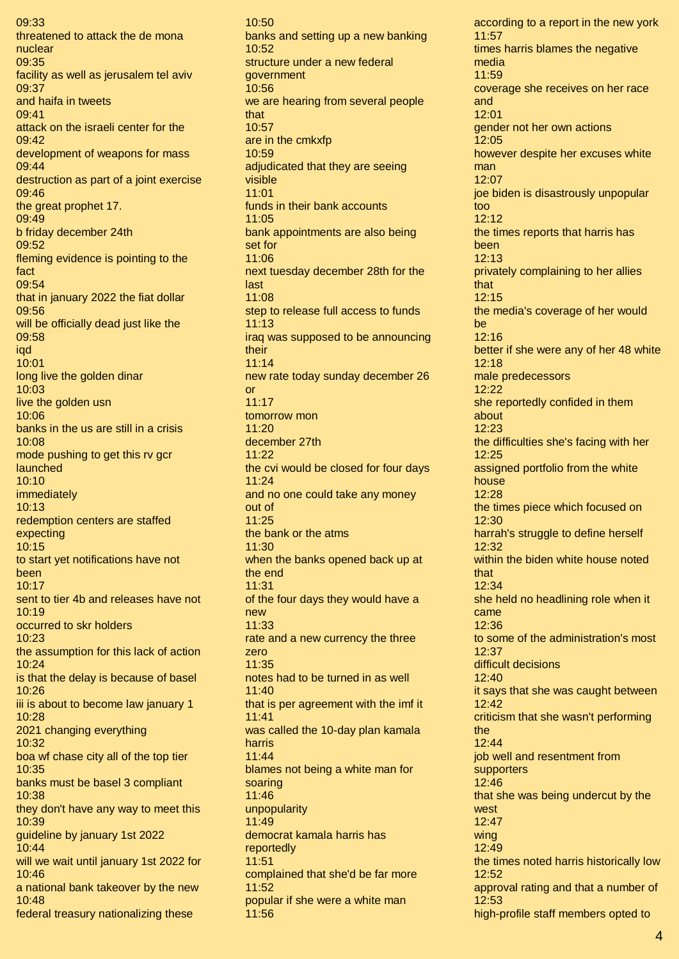09:33 threatened to attack the de mona nuclear 09:35 facility as well as jerusalem tel aviv 09:37 and haifa in tweets 09:41 attack on the israeli center for the  $09.42$ development of weapons for mass 09:44 destruction as part of a joint exercise 09:46 the great prophet 17. 09:49 b friday december 24th 09:52 fleming evidence is pointing to the fact 09:54 that in january 2022 the fiat dollar 09:56 will be officially dead just like the 09:58 iqd 10:01 long live the golden dinar 10:03 live the golden usn 10:06 banks in the us are still in a crisis 10:08 mode pushing to get this rv gcr launched 10:10 immediately 10:13 redemption centers are staffed expecting 10:15 to start yet notifications have not been  $10:17$ sent to tier 4b and releases have not 10:19 occurred to skr holders 10:23 the assumption for this lack of action 10:24 is that the delay is because of basel 10:26 iii is about to become law january 1 10:28 2021 changing everything 10:32 boa wf chase city all of the top tier 10:35 banks must be basel 3 compliant 10:38 they don't have any way to meet this 10:39 guideline by january 1st 2022 10:44 will we wait until january 1st 2022 for 10:46 a national bank takeover by the new 10:48 federal treasury nationalizing these

10:50 banks and setting up a new banking  $10:52$ structure under a new federal government 10:56 we are hearing from several people that 10:57 are in the cmkxfp 10:59 adjudicated that they are seeing visible 11:01 funds in their bank accounts 11:05 bank appointments are also being set for 11:06 next tuesday december 28th for the last 11:08 step to release full access to funds 11:13 iraq was supposed to be announcing their 11:14 new rate today sunday december 26 or 11:17 tomorrow mon 11:20 december 27th 11:22 the cvi would be closed for four days 11:24 and no one could take any money out of 11:25 the bank or the atms 11:30 when the banks opened back up at the end 11:31 of the four days they would have a new 11:33 rate and a new currency the three zero 11:35 notes had to be turned in as well 11:40 that is per agreement with the imf it 11:41 was called the 10-day plan kamala harris 11:44 blames not being a white man for soaring 11:46 unpopularity 11:49 democrat kamala harris has reportedly 11:51 complained that she'd be far more 11:52 popular if she were a white man 11:56

according to a report in the new york 11:57 times harris blames the negative media 11:59 coverage she receives on her race and 12:01 gender not her own actions 12:05 however despite her excuses white man 12:07 joe biden is disastrously unpopular too 12:12 the times reports that harris has been 12:13 privately complaining to her allies that 12:15 the media's coverage of her would be 12:16 better if she were any of her 48 white 12:18 male predecessors 12:22 she reportedly confided in them about 12:23 the difficulties she's facing with her 12:25 assigned portfolio from the white house 12:28 the times piece which focused on 12:30 harrah's struggle to define herself 12:32 within the biden white house noted that 12:34 she held no headlining role when it came 12:36 to some of the administration's most 12:37 difficult decisions 12:40 it says that she was caught between 12:42 criticism that she wasn't performing the 12:44 job well and resentment from supporters 12:46 that she was being undercut by the west 12:47 wing 12:49 the times noted harris historically low 12:52 approval rating and that a number of 12:53 high-profile staff members opted to